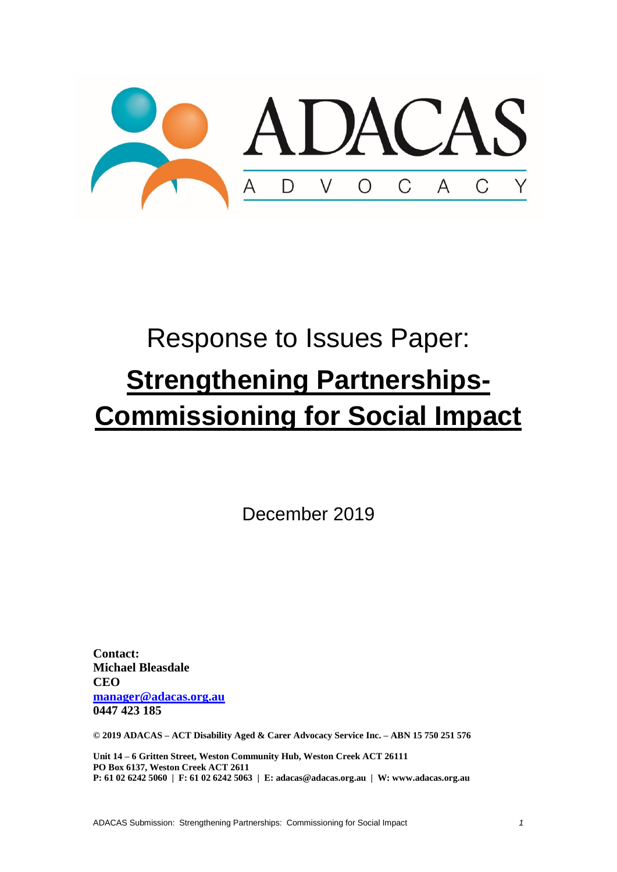

# Response to Issues Paper: **Strengthening Partnerships-Commissioning for Social Impact**

December 2019

**Contact: Michael Bleasdale CEO [manager@adacas.org.au](mailto:manager@adacas.org.au) 0447 423 185**

**© 2019 ADACAS – ACT Disability Aged & Carer Advocacy Service Inc. – ABN 15 750 251 576**

**Unit 14 – 6 Gritten Street, Weston Community Hub, Weston Creek ACT 26111 PO Box 6137, Weston Creek ACT 2611 P: 61 02 6242 5060 | F: 61 02 6242 5063 | E: adacas@adacas.org.au | W: www.adacas.org.au**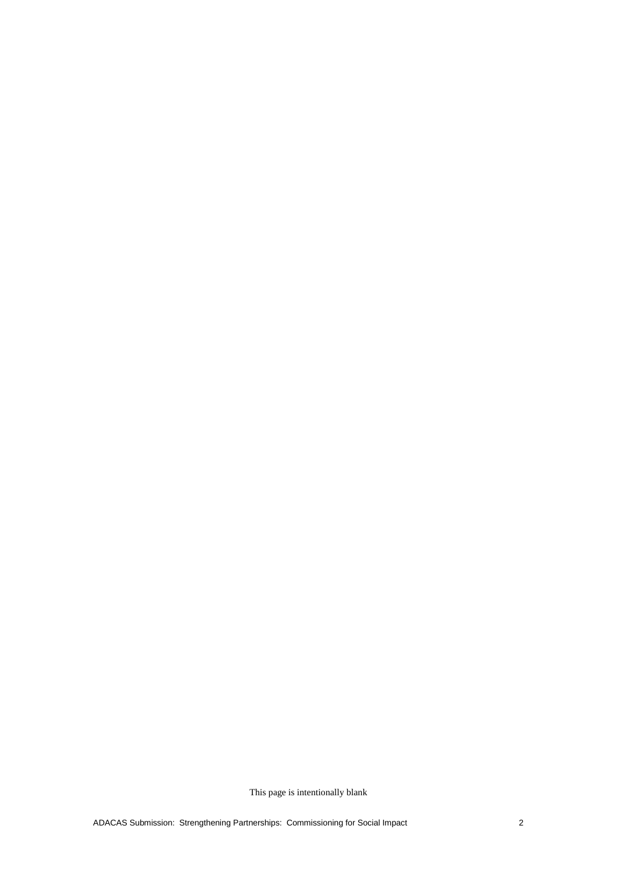This page is intentionally blank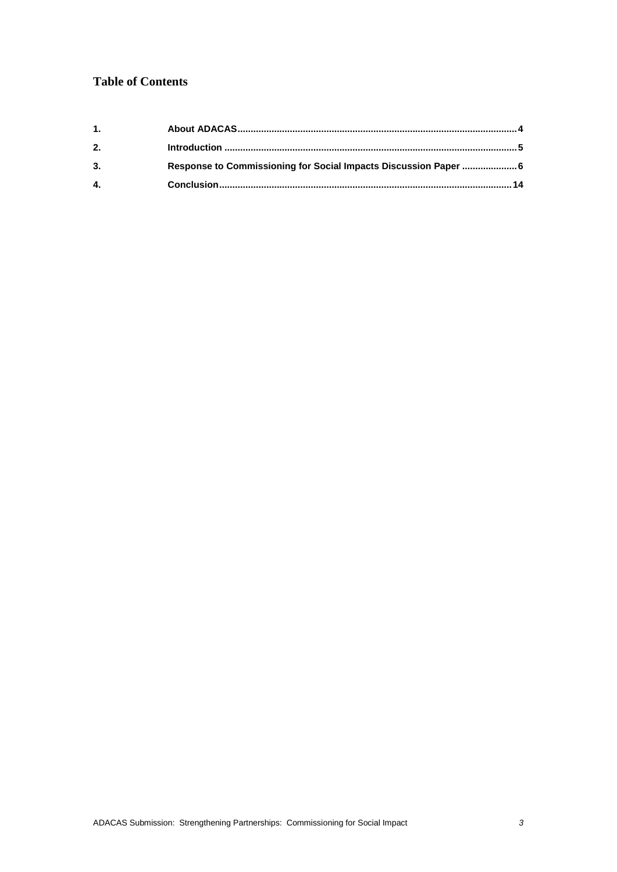### **Table of Contents**

| 1. |                                                                 |  |
|----|-----------------------------------------------------------------|--|
| 2. |                                                                 |  |
| 3. | Response to Commissioning for Social Impacts Discussion Paper 6 |  |
| 4. |                                                                 |  |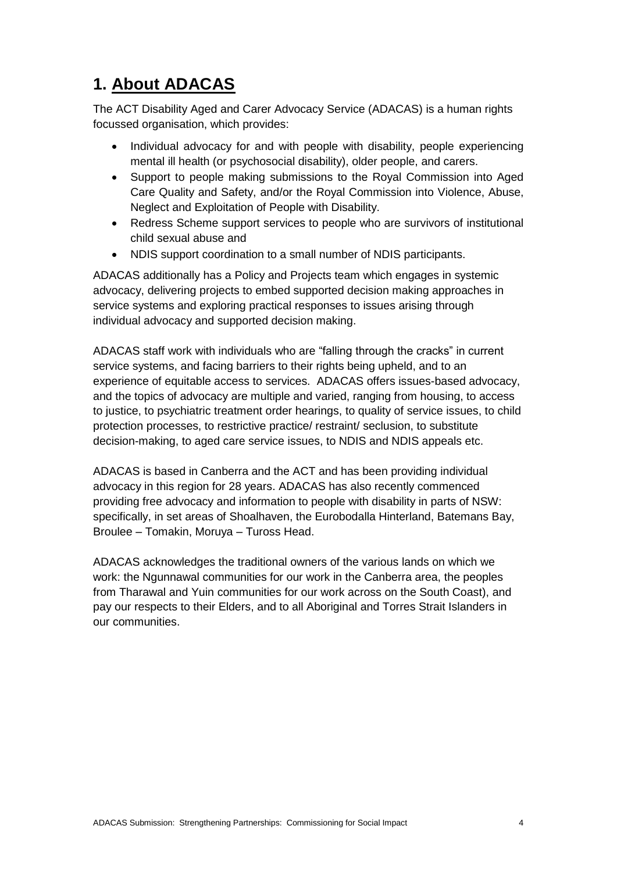## <span id="page-3-0"></span>**1. About ADACAS**

The ACT Disability Aged and Carer Advocacy Service (ADACAS) is a human rights focussed organisation, which provides:

- Individual advocacy for and with people with disability, people experiencing mental ill health (or psychosocial disability), older people, and carers.
- Support to people making submissions to the Royal Commission into Aged Care Quality and Safety, and/or the Royal Commission into Violence, Abuse, Neglect and Exploitation of People with Disability.
- Redress Scheme support services to people who are survivors of institutional child sexual abuse and
- NDIS support coordination to a small number of NDIS participants.

ADACAS additionally has a Policy and Projects team which engages in systemic advocacy, delivering projects to embed supported decision making approaches in service systems and exploring practical responses to issues arising through individual advocacy and supported decision making.

ADACAS staff work with individuals who are "falling through the cracks" in current service systems, and facing barriers to their rights being upheld, and to an experience of equitable access to services. ADACAS offers issues-based advocacy, and the topics of advocacy are multiple and varied, ranging from housing, to access to justice, to psychiatric treatment order hearings, to quality of service issues, to child protection processes, to restrictive practice/ restraint/ seclusion, to substitute decision-making, to aged care service issues, to NDIS and NDIS appeals etc.

ADACAS is based in Canberra and the ACT and has been providing individual advocacy in this region for 28 years. ADACAS has also recently commenced providing free advocacy and information to people with disability in parts of NSW: specifically, in set areas of Shoalhaven, the Eurobodalla Hinterland, Batemans Bay, Broulee – Tomakin, Moruya – Tuross Head.

ADACAS acknowledges the traditional owners of the various lands on which we work: the Ngunnawal communities for our work in the Canberra area, the peoples from Tharawal and Yuin communities for our work across on the South Coast), and pay our respects to their Elders, and to all Aboriginal and Torres Strait Islanders in our communities.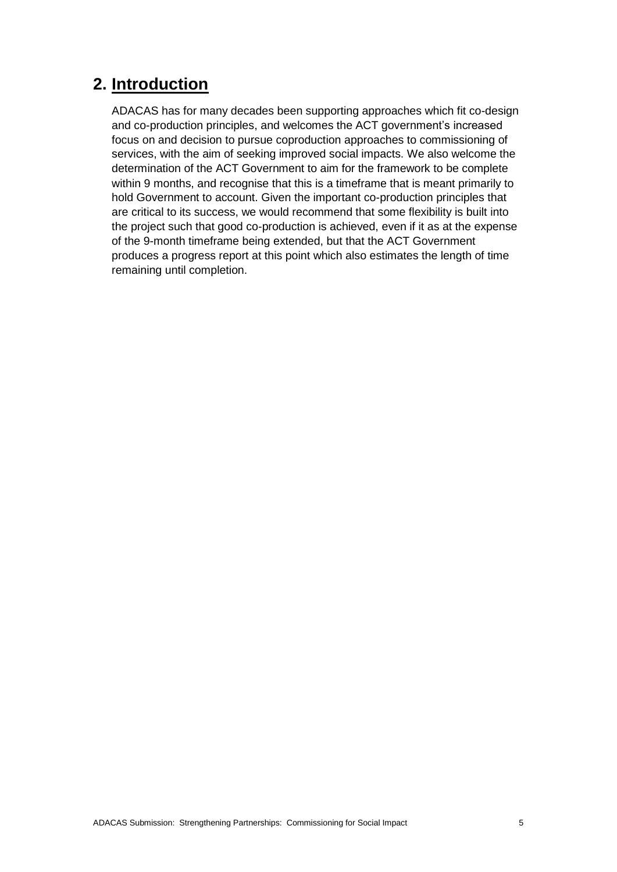## <span id="page-4-0"></span>**2. Introduction**

ADACAS has for many decades been supporting approaches which fit co-design and co-production principles, and welcomes the ACT government's increased focus on and decision to pursue coproduction approaches to commissioning of services, with the aim of seeking improved social impacts. We also welcome the determination of the ACT Government to aim for the framework to be complete within 9 months, and recognise that this is a timeframe that is meant primarily to hold Government to account. Given the important co-production principles that are critical to its success, we would recommend that some flexibility is built into the project such that good co-production is achieved, even if it as at the expense of the 9-month timeframe being extended, but that the ACT Government produces a progress report at this point which also estimates the length of time remaining until completion.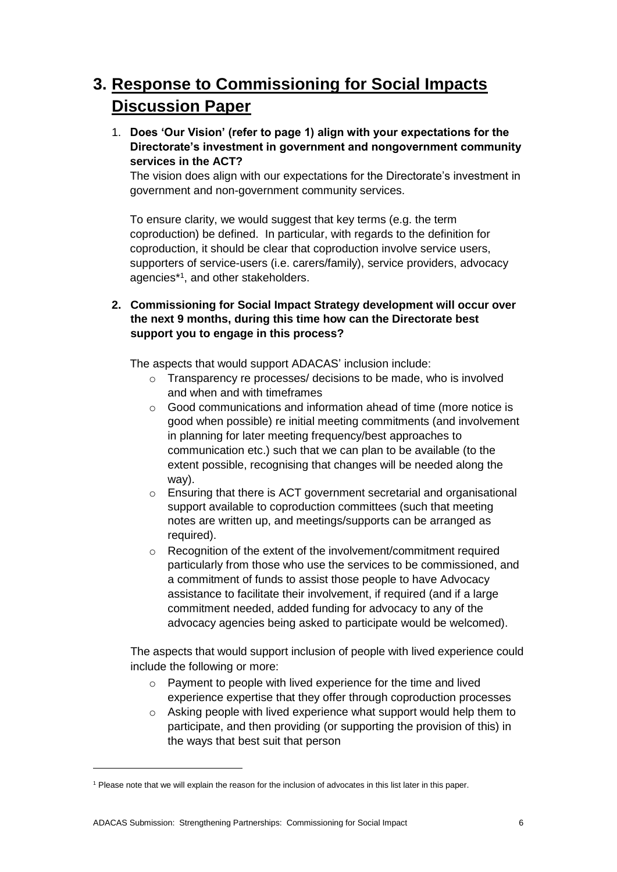## <span id="page-5-0"></span>**3. Response to Commissioning for Social Impacts Discussion Paper**

1. **Does 'Our Vision' (refer to page 1) align with your expectations for the Directorate's investment in government and nongovernment community services in the ACT?** 

The vision does align with our expectations for the Directorate's investment in government and non-government community services.

To ensure clarity, we would suggest that key terms (e.g. the term coproduction) be defined. In particular, with regards to the definition for coproduction, it should be clear that coproduction involve service users, supporters of service-users (i.e. carers/family), service providers, advocacy agencies\* 1 , and other stakeholders.

**2. Commissioning for Social Impact Strategy development will occur over the next 9 months, during this time how can the Directorate best support you to engage in this process?** 

The aspects that would support ADACAS' inclusion include:

- o Transparency re processes/ decisions to be made, who is involved and when and with timeframes
- o Good communications and information ahead of time (more notice is good when possible) re initial meeting commitments (and involvement in planning for later meeting frequency/best approaches to communication etc.) such that we can plan to be available (to the extent possible, recognising that changes will be needed along the way).
- o Ensuring that there is ACT government secretarial and organisational support available to coproduction committees (such that meeting notes are written up, and meetings/supports can be arranged as required).
- o Recognition of the extent of the involvement/commitment required particularly from those who use the services to be commissioned, and a commitment of funds to assist those people to have Advocacy assistance to facilitate their involvement, if required (and if a large commitment needed, added funding for advocacy to any of the advocacy agencies being asked to participate would be welcomed).

The aspects that would support inclusion of people with lived experience could include the following or more:

- o Payment to people with lived experience for the time and lived experience expertise that they offer through coproduction processes
- o Asking people with lived experience what support would help them to participate, and then providing (or supporting the provision of this) in the ways that best suit that person

 $\overline{a}$ 

<sup>1</sup> Please note that we will explain the reason for the inclusion of advocates in this list later in this paper.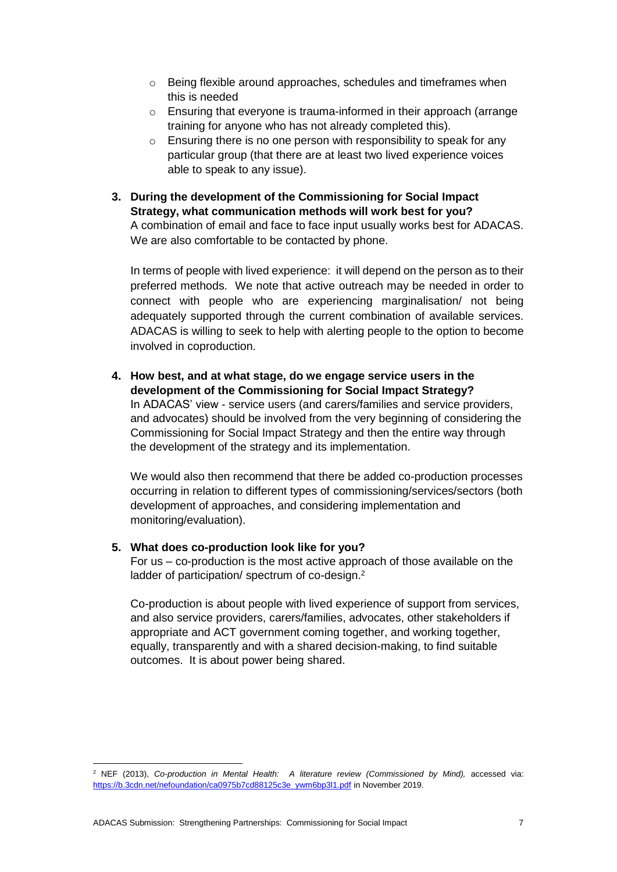- o Being flexible around approaches, schedules and timeframes when this is needed
- o Ensuring that everyone is trauma-informed in their approach (arrange training for anyone who has not already completed this).
- o Ensuring there is no one person with responsibility to speak for any particular group (that there are at least two lived experience voices able to speak to any issue).
- **3. During the development of the Commissioning for Social Impact Strategy, what communication methods will work best for you?**  A combination of email and face to face input usually works best for ADACAS. We are also comfortable to be contacted by phone.

In terms of people with lived experience: it will depend on the person as to their preferred methods. We note that active outreach may be needed in order to connect with people who are experiencing marginalisation/ not being adequately supported through the current combination of available services. ADACAS is willing to seek to help with alerting people to the option to become involved in coproduction.

**4. How best, and at what stage, do we engage service users in the development of the Commissioning for Social Impact Strategy?**  In ADACAS' view - service users (and carers/families and service providers, and advocates) should be involved from the very beginning of considering the Commissioning for Social Impact Strategy and then the entire way through the development of the strategy and its implementation.

We would also then recommend that there be added co-production processes occurring in relation to different types of commissioning/services/sectors (both development of approaches, and considering implementation and monitoring/evaluation).

#### **5. What does co-production look like for you?**

For us – co-production is the most active approach of those available on the ladder of participation/ spectrum of co-design.<sup>2</sup>

Co-production is about people with lived experience of support from services, and also service providers, carers/families, advocates, other stakeholders if appropriate and ACT government coming together, and working together, equally, transparently and with a shared decision-making, to find suitable outcomes. It is about power being shared.

 $\overline{a}$ 

<sup>2</sup> NEF (2013), *Co-production in Mental Health: A literature review (Commissioned by Mind),* accessed via: [https://b.3cdn.net/nefoundation/ca0975b7cd88125c3e\\_ywm6bp3l1.pdf](https://b.3cdn.net/nefoundation/ca0975b7cd88125c3e_ywm6bp3l1.pdf) in November 2019.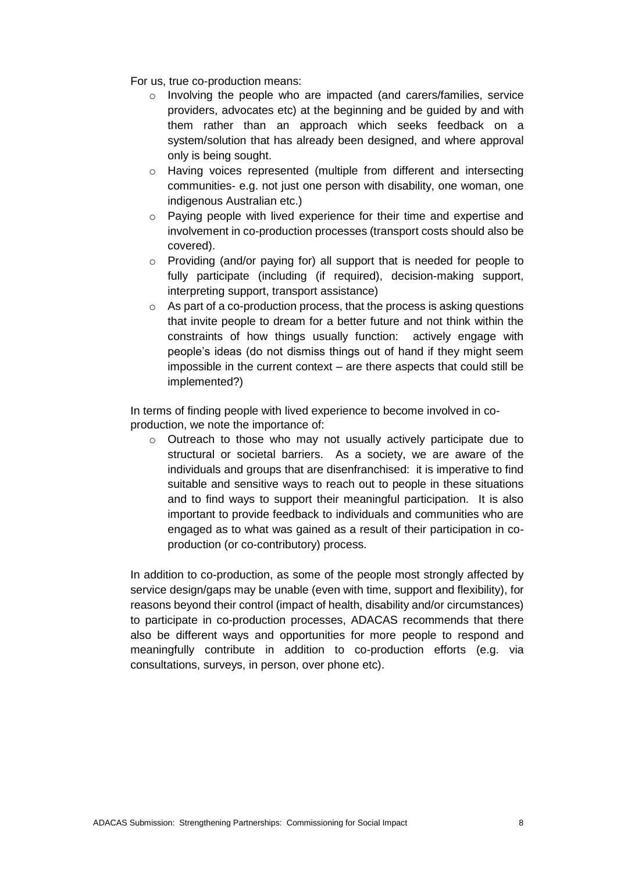For us, true co-production means:

- o Involving the people who are impacted (and carers/families, service providers, advocates etc) at the beginning and be guided by and with them rather than an approach which seeks feedback on a system/solution that has already been designed, and where approval only is being sought.
- o Having voices represented (multiple from different and intersecting communities- e.g. not just one person with disability, one woman, one indigenous Australian etc.)
- o Paying people with lived experience for their time and expertise and involvement in co-production processes (transport costs should also be covered).
- o Providing (and/or paying for) all support that is needed for people to fully participate (including (if required), decision-making support, interpreting support, transport assistance)
- o As part of a co-production process, that the process is asking questions that invite people to dream for a better future and not think within the constraints of how things usually function: actively engage with people's ideas (do not dismiss things out of hand if they might seem impossible in the current context – are there aspects that could still be implemented?)

In terms of finding people with lived experience to become involved in coproduction, we note the importance of:

o Outreach to those who may not usually actively participate due to structural or societal barriers. As a society, we are aware of the individuals and groups that are disenfranchised: it is imperative to find suitable and sensitive ways to reach out to people in these situations and to find ways to support their meaningful participation. It is also important to provide feedback to individuals and communities who are engaged as to what was gained as a result of their participation in coproduction (or co-contributory) process.

In addition to co-production, as some of the people most strongly affected by service design/gaps may be unable (even with time, support and flexibility), for reasons beyond their control (impact of health, disability and/or circumstances) to participate in co-production processes, ADACAS recommends that there also be different ways and opportunities for more people to respond and meaningfully contribute in addition to co-production efforts (e.g. via consultations, surveys, in person, over phone etc).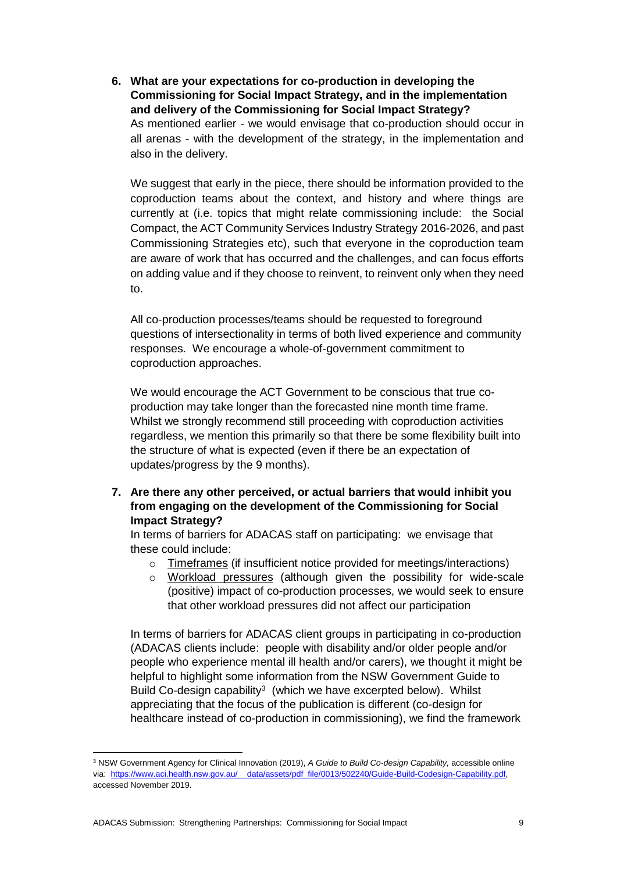**6. What are your expectations for co-production in developing the Commissioning for Social Impact Strategy, and in the implementation and delivery of the Commissioning for Social Impact Strategy?**  As mentioned earlier - we would envisage that co-production should occur in all arenas - with the development of the strategy, in the implementation and also in the delivery.

We suggest that early in the piece, there should be information provided to the coproduction teams about the context, and history and where things are currently at (i.e. topics that might relate commissioning include: the Social Compact, the ACT Community Services Industry Strategy 2016-2026, and past Commissioning Strategies etc), such that everyone in the coproduction team are aware of work that has occurred and the challenges, and can focus efforts on adding value and if they choose to reinvent, to reinvent only when they need to.

All co-production processes/teams should be requested to foreground questions of intersectionality in terms of both lived experience and community responses. We encourage a whole-of-government commitment to coproduction approaches.

We would encourage the ACT Government to be conscious that true coproduction may take longer than the forecasted nine month time frame. Whilst we strongly recommend still proceeding with coproduction activities regardless, we mention this primarily so that there be some flexibility built into the structure of what is expected (even if there be an expectation of updates/progress by the 9 months).

**7. Are there any other perceived, or actual barriers that would inhibit you from engaging on the development of the Commissioning for Social Impact Strategy?**

In terms of barriers for ADACAS staff on participating: we envisage that these could include:

- o Timeframes (if insufficient notice provided for meetings/interactions)
- o Workload pressures (although given the possibility for wide-scale (positive) impact of co-production processes, we would seek to ensure that other workload pressures did not affect our participation

In terms of barriers for ADACAS client groups in participating in co-production (ADACAS clients include: people with disability and/or older people and/or people who experience mental ill health and/or carers), we thought it might be helpful to highlight some information from the NSW Government Guide to Build Co-design capability<sup>3</sup> (which we have excerpted below). Whilst appreciating that the focus of the publication is different (co-design for healthcare instead of co-production in commissioning), we find the framework

 $\overline{a}$ 

<sup>3</sup> NSW Government Agency for Clinical Innovation (2019), *A Guide to Build Co-design Capability,* accessible online via: https://www.aci.health.nsw.gov.au/ data/assets/pdf\_file/0013/502240/Guide-Build-Codesign-Capability.pdf, accessed November 2019.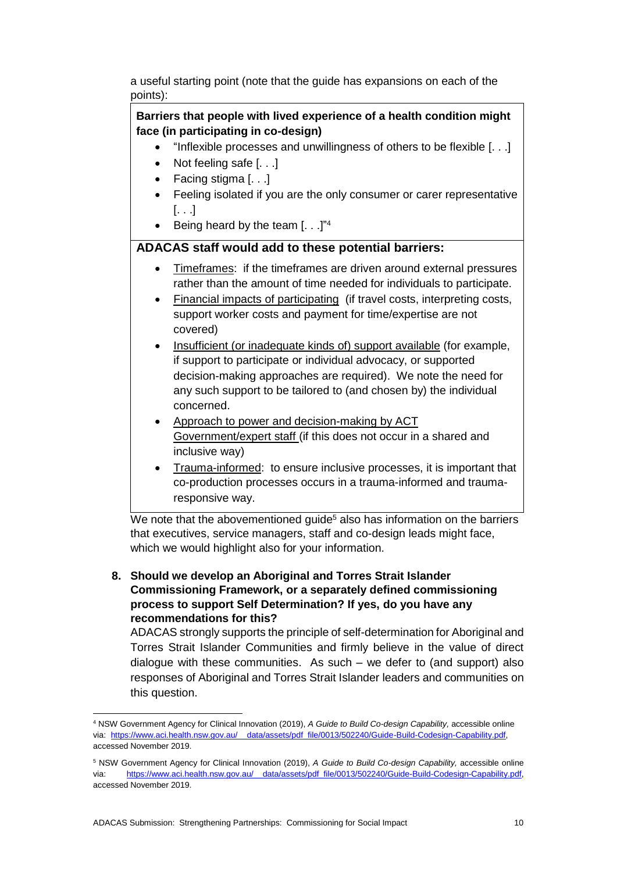a useful starting point (note that the guide has expansions on each of the points):

#### **Barriers that people with lived experience of a health condition might face (in participating in co-design)**

- "Inflexible processes and unwillingness of others to be flexible [. . .]
- Not feeling safe [...]
- Facing stigma [...]
- Feeling isolated if you are the only consumer or carer representative [. . .]
- Being heard by the team  $[...]^{4}$

#### **ADACAS staff would add to these potential barriers:**

- Timeframes: if the timeframes are driven around external pressures rather than the amount of time needed for individuals to participate.
- Financial impacts of participating (if travel costs, interpreting costs, support worker costs and payment for time/expertise are not covered)
- Insufficient (or inadequate kinds of) support available (for example, if support to participate or individual advocacy, or supported decision-making approaches are required). We note the need for any such support to be tailored to (and chosen by) the individual concerned.
- Approach to power and decision-making by ACT Government/expert staff (if this does not occur in a shared and inclusive way)
- Trauma-informed: to ensure inclusive processes, it is important that co-production processes occurs in a trauma-informed and traumaresponsive way.

We note that the abovementioned quide<sup>5</sup> also has information on the barriers that executives, service managers, staff and co-design leads might face, which we would highlight also for your information.

#### **8. Should we develop an Aboriginal and Torres Strait Islander Commissioning Framework, or a separately defined commissioning process to support Self Determination? If yes, do you have any recommendations for this?**

ADACAS strongly supports the principle of self-determination for Aboriginal and Torres Strait Islander Communities and firmly believe in the value of direct dialogue with these communities. As such – we defer to (and support) also responses of Aboriginal and Torres Strait Islander leaders and communities on this question.

 $\overline{a}$ <sup>4</sup> NSW Government Agency for Clinical Innovation (2019), *A Guide to Build Co-design Capability,* accessible online via: [https://www.aci.health.nsw.gov.au/\\_\\_data/assets/pdf\\_file/0013/502240/Guide-Build-Codesign-Capability.pdf,](https://www.aci.health.nsw.gov.au/__data/assets/pdf_file/0013/502240/Guide-Build-Codesign-Capability.pdf) accessed November 2019.

<sup>5</sup> NSW Government Agency for Clinical Innovation (2019), *A Guide to Build Co-design Capability,* accessible online via: https://www.aci.health.nsw.gov.au/ data/assets/pdf\_file/0013/502240/Guide-Build-Codesign-Capability.pdf, accessed November 2019.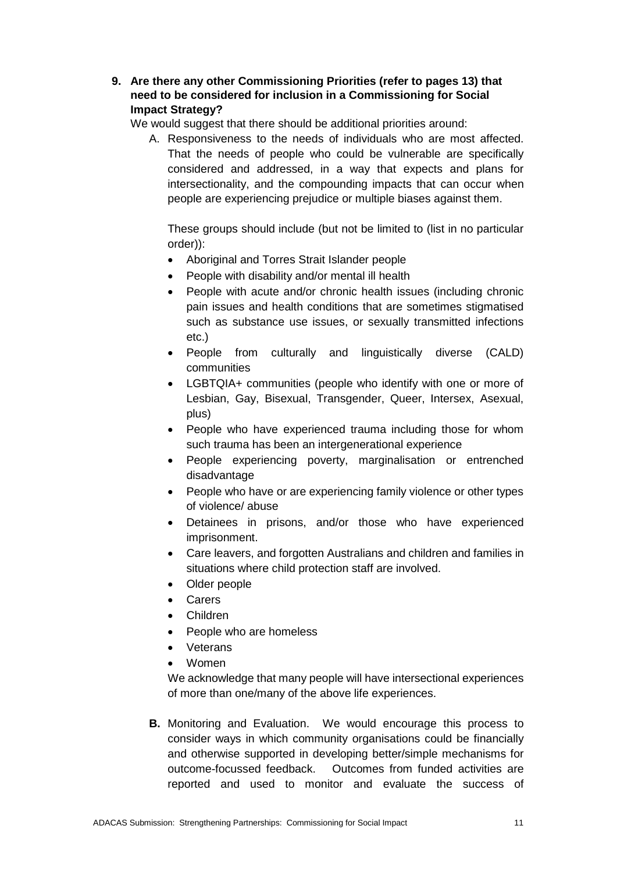#### **9. Are there any other Commissioning Priorities (refer to pages 13) that need to be considered for inclusion in a Commissioning for Social Impact Strategy?**

We would suggest that there should be additional priorities around:

A. Responsiveness to the needs of individuals who are most affected. That the needs of people who could be vulnerable are specifically considered and addressed, in a way that expects and plans for intersectionality, and the compounding impacts that can occur when people are experiencing prejudice or multiple biases against them.

These groups should include (but not be limited to (list in no particular order)):

- Aboriginal and Torres Strait Islander people
- People with disability and/or mental ill health
- People with acute and/or chronic health issues (including chronic pain issues and health conditions that are sometimes stigmatised such as substance use issues, or sexually transmitted infections etc.)
- People from culturally and linguistically diverse (CALD) communities
- LGBTQIA+ communities (people who identify with one or more of Lesbian, Gay, Bisexual, Transgender, Queer, Intersex, Asexual, plus)
- People who have experienced trauma including those for whom such trauma has been an intergenerational experience
- People experiencing poverty, marginalisation or entrenched disadvantage
- People who have or are experiencing family violence or other types of violence/ abuse
- Detainees in prisons, and/or those who have experienced imprisonment.
- Care leavers, and forgotten Australians and children and families in situations where child protection staff are involved.
- Older people
- Carers
- Children
- People who are homeless
- Veterans
- Women

We acknowledge that many people will have intersectional experiences of more than one/many of the above life experiences.

**B.** Monitoring and Evaluation. We would encourage this process to consider ways in which community organisations could be financially and otherwise supported in developing better/simple mechanisms for outcome-focussed feedback. Outcomes from funded activities are reported and used to monitor and evaluate the success of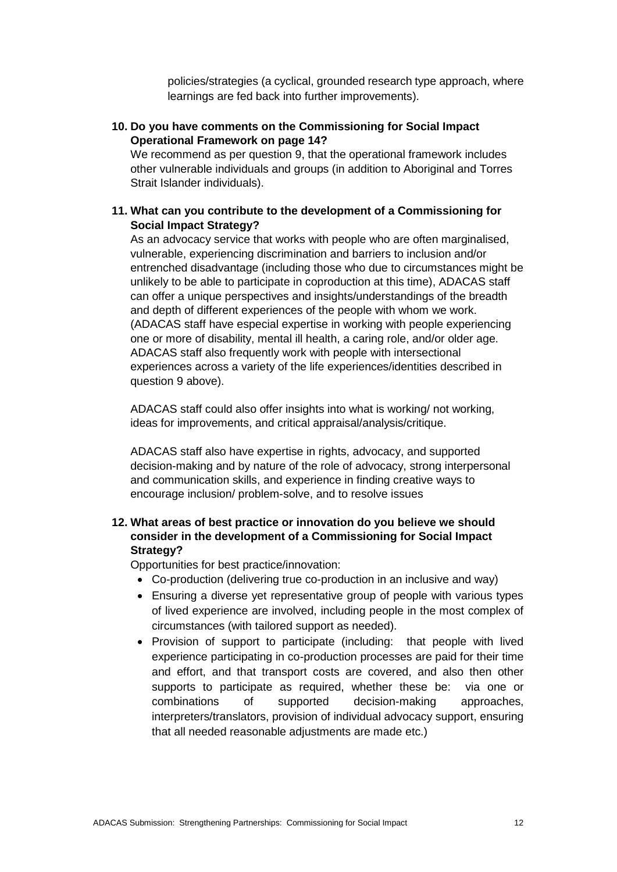policies/strategies (a cyclical, grounded research type approach, where learnings are fed back into further improvements).

**10. Do you have comments on the Commissioning for Social Impact Operational Framework on page 14?** 

We recommend as per question 9, that the operational framework includes other vulnerable individuals and groups (in addition to Aboriginal and Torres Strait Islander individuals).

**11. What can you contribute to the development of a Commissioning for Social Impact Strategy?** 

As an advocacy service that works with people who are often marginalised, vulnerable, experiencing discrimination and barriers to inclusion and/or entrenched disadvantage (including those who due to circumstances might be unlikely to be able to participate in coproduction at this time), ADACAS staff can offer a unique perspectives and insights/understandings of the breadth and depth of different experiences of the people with whom we work. (ADACAS staff have especial expertise in working with people experiencing one or more of disability, mental ill health, a caring role, and/or older age. ADACAS staff also frequently work with people with intersectional experiences across a variety of the life experiences/identities described in question 9 above).

ADACAS staff could also offer insights into what is working/ not working, ideas for improvements, and critical appraisal/analysis/critique.

ADACAS staff also have expertise in rights, advocacy, and supported decision-making and by nature of the role of advocacy, strong interpersonal and communication skills, and experience in finding creative ways to encourage inclusion/ problem-solve, and to resolve issues

#### **12. What areas of best practice or innovation do you believe we should consider in the development of a Commissioning for Social Impact Strategy?**

Opportunities for best practice/innovation:

- Co-production (delivering true co-production in an inclusive and way)
- Ensuring a diverse yet representative group of people with various types of lived experience are involved, including people in the most complex of circumstances (with tailored support as needed).
- Provision of support to participate (including: that people with lived experience participating in co-production processes are paid for their time and effort, and that transport costs are covered, and also then other supports to participate as required, whether these be: via one or combinations of supported decision-making approaches, interpreters/translators, provision of individual advocacy support, ensuring that all needed reasonable adjustments are made etc.)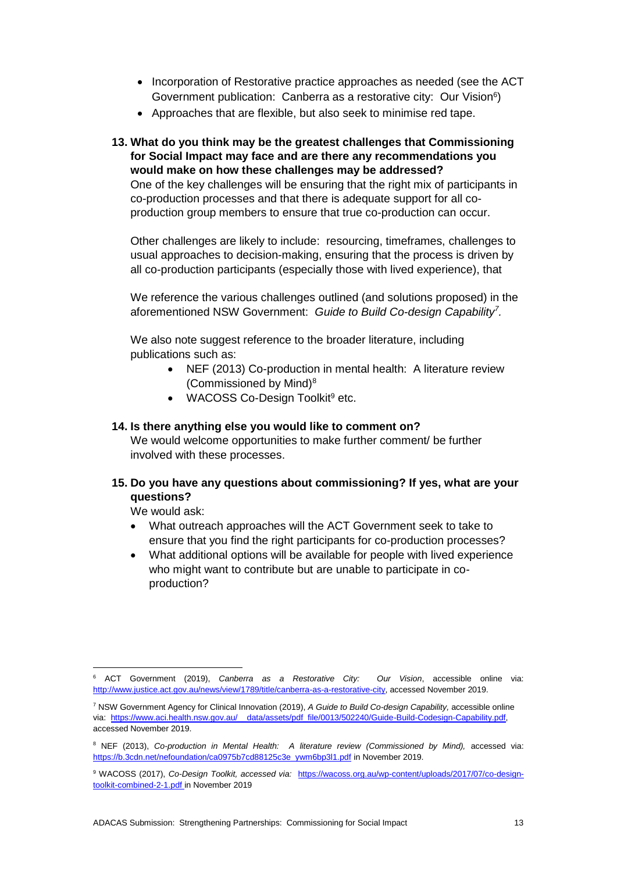- Incorporation of Restorative practice approaches as needed (see the ACT Government publication: Canberra as a restorative city: Our Vision<sup>6</sup>)
- Approaches that are flexible, but also seek to minimise red tape.

**13. What do you think may be the greatest challenges that Commissioning for Social Impact may face and are there any recommendations you would make on how these challenges may be addressed?**  One of the key challenges will be ensuring that the right mix of participants in co-production processes and that there is adequate support for all coproduction group members to ensure that true co-production can occur.

Other challenges are likely to include: resourcing, timeframes, challenges to usual approaches to decision-making, ensuring that the process is driven by all co-production participants (especially those with lived experience), that

We reference the various challenges outlined (and solutions proposed) in the aforementioned NSW Government: *Guide to Build Co-design Capability<sup>7</sup> .* 

We also note suggest reference to the broader literature, including publications such as:

- NEF (2013) Co-production in mental health: A literature review (Commissioned by Mind)<sup>8</sup>
- WACOSS Co-Design Toolkit<sup>9</sup> etc.

#### **14. Is there anything else you would like to comment on?**

We would welcome opportunities to make further comment be further involved with these processes.

#### **15. Do you have any questions about commissioning? If yes, what are your questions?**

We would ask:

- What outreach approaches will the ACT Government seek to take to ensure that you find the right participants for co-production processes?
- What additional options will be available for people with lived experience who might want to contribute but are unable to participate in coproduction?

<span id="page-12-0"></span> $\overline{a}$ <sup>6</sup> ACT Government (2019), *Canberra as a Restorative City: Our Vision*, accessible online via: http://www.iustice.act.gov.au/news/view/1789/title/canberra-as-a-restorative-city, accessed November 2019.

<sup>7</sup> NSW Government Agency for Clinical Innovation (2019), *A Guide to Build Co-design Capability,* accessible online via: https://www.aci.health.nsw.gov.au/ data/assets/pdf\_file/0013/502240/Guide-Build-Codesign-Capability.pdf, accessed November 2019.

<sup>8</sup> NEF (2013), *Co-production in Mental Health: A literature review (Commissioned by Mind),* accessed via: [https://b.3cdn.net/nefoundation/ca0975b7cd88125c3e\\_ywm6bp3l1.pdf](https://b.3cdn.net/nefoundation/ca0975b7cd88125c3e_ywm6bp3l1.pdf) in November 2019.

<sup>9</sup> WACOSS (2017), *Co-Design Toolkit, accessed via:* [https://wacoss.org.au/wp-content/uploads/2017/07/co-design](https://wacoss.org.au/wp-content/uploads/2017/07/co-design-toolkit-combined-2-1.pdf)[toolkit-combined-2-1.pdf](https://wacoss.org.au/wp-content/uploads/2017/07/co-design-toolkit-combined-2-1.pdf) in November 2019